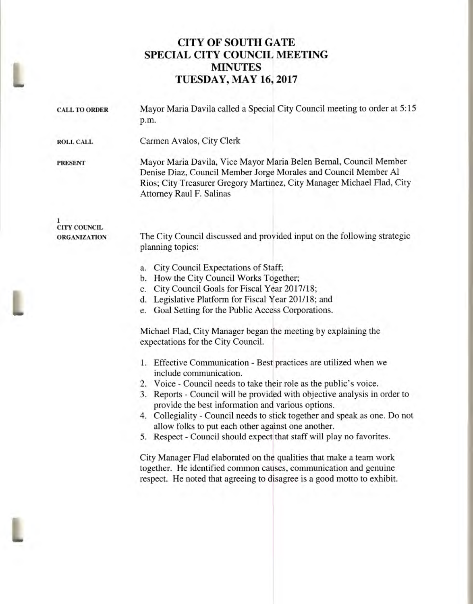# **CITY OF SOUTH GATE SPECIAL CITY COUNCIL MEETING MINUTES TUESDAY, MAY 16, 2017**

| Mayor Maria Davila called a Special City Council meeting to order at 5:15<br>p.m.                                                                                                                                                                                |
|------------------------------------------------------------------------------------------------------------------------------------------------------------------------------------------------------------------------------------------------------------------|
| Carmen Avalos, City Clerk                                                                                                                                                                                                                                        |
| Mayor Maria Davila, Vice Mayor Maria Belen Bernal, Council Member<br>Denise Diaz, Council Member Jorge Morales and Council Member Al<br>Rios; City Treasurer Gregory Martinez, City Manager Michael Flad, City<br>Attorney Raul F. Salinas                       |
| The City Council discussed and provided input on the following strategic<br>planning topics:                                                                                                                                                                     |
| City Council Expectations of Staff;<br>a.<br>How the City Council Works Together;<br>b.<br>City Council Goals for Fiscal Year 2017/18;<br>c.<br>Legislative Platform for Fiscal Year 201/18; and<br>d.<br>Goal Setting for the Public Access Corporations.<br>e. |
|                                                                                                                                                                                                                                                                  |

Michael Flad, City Manager began the meeting by explaining the expectations for the City Council.

- 1. Effective Communication Best practices are utilized when we include communication.
- 2. Voice Council needs to take their role as the public's voice.
- 3. Reports Council will be provided with objective analysis in order to provide the best information and various options.
- 4. Collegiality Council needs to stick together and speak as one. Do not allow folks to put each other against one another.
- 5. Respect Council should expect that staff will play no favorites.

City Manager Flad elaborated on the qualities that make a team work together. He identified common causes, communication and genuine respect. He noted that agreeing to disagree is a good motto to exhibit.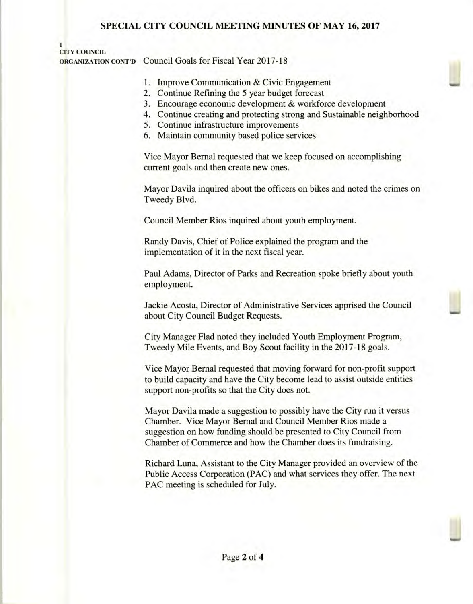### **SPECIAL CITY COUNCIL MEETING MINUTES OF MAY 16, 2017**

#### **1 CITY COUNCIL**

**ORGANIZATION CONT'D** Council Goals for Fiscal Year 2017-18

- 1. Improve Communication & Civic Engagement
- 2. Continue Refining the 5 year budget forecast
- 3. Encourage economic development & workforce development
- 4. Continue creating and protecting strong and Sustainable neighborhood
- 5. Continue infrastructure improvements
- 6. Maintain community based police services

Vice Mayor Bernal requested that we keep focused on accomplishing current goals and then create new ones.

Mayor Davila inquired about the officers on bikes and noted the crimes on Tweedy Blvd.

Council Member Rios inquired about youth employment.

Randy Davis, Chief of Police explained the program and the implementation of it in the next fiscal year.

Paul Adams, Director of Parks and Recreation spoke briefly about youth employment.

Jackie Acosta, Director of Administrative Services apprised the Council about City Council Budget Requests.

City Manager Flad noted they included Youth Employment Program, Tweedy Mile Events, and Boy Scout facility in the 2017-18 goals.

Vice Mayor Bernal requested that moving forward for non-profit support to build capacity and have the City become lead to assist outside entities support non-profits so that the City does not.

Mayor Davila made a suggestion to possibly have the City run it versus Chamber. Vice Mayor Bernal and Council Member Rios made a suggestion on how funding should be presented to City Council from Chamber of Commerce and how the Chamber does its fundraising.

Richard Luna, Assistant to the City Manager provided an overview of the Public Access Corporation (PAC) and what services they offer. The next PAC meeting is scheduled for July.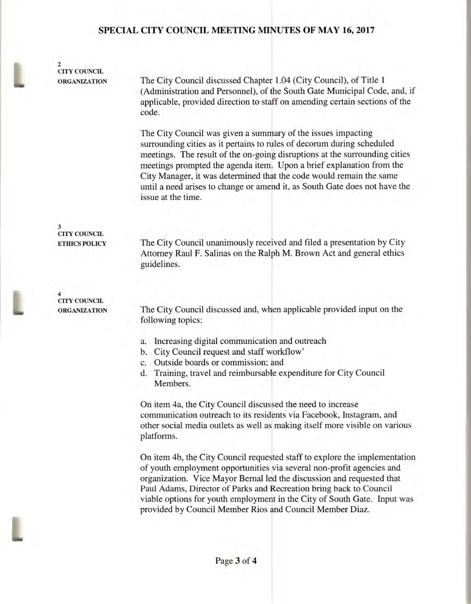### **SPECIAL CITY COUNCIL MEETING MINUTES OF MAY 16, 2017**

**2 CITY COUNCIL** 

**ORGANIZATION** The City Council discussed Chapter 1.04 (City Council), of Title 1 (Administration and Personnel), of the South Gate Municipal Code, and, if applicable, provided direction to staff on amending certain sections of the code.

> The City Council was given a summary of the issues impacting surrounding cities as it pertains to rules of decorum during scheduled meetings. The result of the on-going disruptions at the surrounding cities meetings prompted the agenda item. Upon a brief explanation from the City Manager, it was determined that the code would remain the same until a need arises to change or amend it, as South Gate does not have the issue at the time.

**3 CITY COUNCIL** 

**ETHICS POLICY** The City Council unanimously received and filed a presentation by City Attorney Raul F. Salinas on the Ralph M. Brown Act and general ethics guidelines.

**4 CITY COUNCIL** 

**ORGANIZATION** The City Council discussed and, when applicable provided input on the following topics:

- a. Increasing digital communication and outreach
- b. City Council request and staff workflow'
- c. Outside boards or commission; and
- d. Training, travel and reimbursable expenditure for City Council Members.

On item 4a, the City Council discussed the need to increase communication outreach to its residents via Facebook, Instagram, and other social media outlets as well as making itself more visible on various platforms.

On item 4b, the City Council requested staff to explore the implementation of youth employment opportunities via several non-profit agencies and organization. Vice Mayor Bernal led the discussion and requested that Paul Adams, Director of Parks and Recreation bring back to Council viable options for youth employment in the City of South Gate. Input was provided by Council Member Rios and Council Member Diaz.